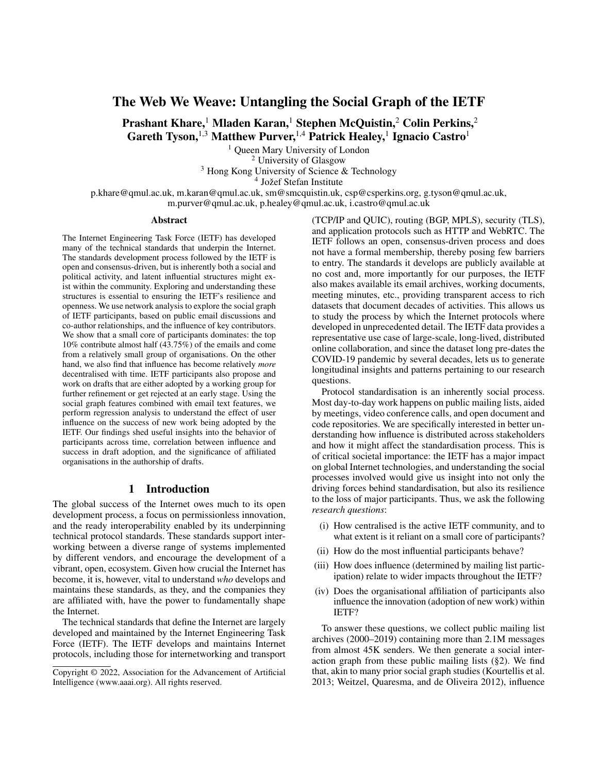# The Web We Weave: Untangling the Social Graph of the IETF

Prashant Khare,<sup>1</sup> Mladen Karan,<sup>1</sup> Stephen McQuistin,<sup>2</sup> Colin Perkins,<sup>2</sup> Gareth Tyson,  $^{1,3}$  Matthew Purver,  $^{1,4}$  Patrick Healey,  $^{1}$  Ignacio Castro $^{1}$ 

> <sup>1</sup> Queen Mary University of London <sup>2</sup> University of Glasgow

<sup>3</sup> Hong Kong University of Science & Technology  $4 \text{ Jožef Stefan Institute}$ 

p.khare@qmul.ac.uk, m.karan@qmul.ac.uk, sm@smcquistin.uk, csp@csperkins.org, g.tyson@qmul.ac.uk, m.purver@qmul.ac.uk, p.healey@qmul.ac.uk, i.castro@qmul.ac.uk

#### Abstract

The Internet Engineering Task Force (IETF) has developed many of the technical standards that underpin the Internet. The standards development process followed by the IETF is open and consensus-driven, but is inherently both a social and political activity, and latent influential structures might exist within the community. Exploring and understanding these structures is essential to ensuring the IETF's resilience and openness. We use network analysis to explore the social graph of IETF participants, based on public email discussions and co-author relationships, and the influence of key contributors. We show that a small core of participants dominates: the top 10% contribute almost half (43.75%) of the emails and come from a relatively small group of organisations. On the other hand, we also find that influence has become relatively *more* decentralised with time. IETF participants also propose and work on drafts that are either adopted by a working group for further refinement or get rejected at an early stage. Using the social graph features combined with email text features, we perform regression analysis to understand the effect of user influence on the success of new work being adopted by the IETF. Our findings shed useful insights into the behavior of participants across time, correlation between influence and success in draft adoption, and the significance of affiliated organisations in the authorship of drafts.

### 1 Introduction

The global success of the Internet owes much to its open development process, a focus on permissionless innovation, and the ready interoperability enabled by its underpinning technical protocol standards. These standards support interworking between a diverse range of systems implemented by different vendors, and encourage the development of a vibrant, open, ecosystem. Given how crucial the Internet has become, it is, however, vital to understand *who* develops and maintains these standards, as they, and the companies they are affiliated with, have the power to fundamentally shape the Internet.

The technical standards that define the Internet are largely developed and maintained by the Internet Engineering Task Force (IETF). The IETF develops and maintains Internet protocols, including those for internetworking and transport (TCP/IP and QUIC), routing (BGP, MPLS), security (TLS), and application protocols such as HTTP and WebRTC. The IETF follows an open, consensus-driven process and does not have a formal membership, thereby posing few barriers to entry. The standards it develops are publicly available at no cost and, more importantly for our purposes, the IETF also makes available its email archives, working documents, meeting minutes, etc., providing transparent access to rich datasets that document decades of activities. This allows us to study the process by which the Internet protocols where developed in unprecedented detail. The IETF data provides a representative use case of large-scale, long-lived, distributed online collaboration, and since the dataset long pre-dates the COVID-19 pandemic by several decades, lets us to generate longitudinal insights and patterns pertaining to our research questions.

Protocol standardisation is an inherently social process. Most day-to-day work happens on public mailing lists, aided by meetings, video conference calls, and open document and code repositories. We are specifically interested in better understanding how influence is distributed across stakeholders and how it might affect the standardisation process. This is of critical societal importance: the IETF has a major impact on global Internet technologies, and understanding the social processes involved would give us insight into not only the driving forces behind standardisation, but also its resilience to the loss of major participants. Thus, we ask the following *research questions*:

- (i) How centralised is the active IETF community, and to what extent is it reliant on a small core of participants?
- (ii) How do the most influential participants behave?
- (iii) How does influence (determined by mailing list participation) relate to wider impacts throughout the IETF?
- (iv) Does the organisational affiliation of participants also influence the innovation (adoption of new work) within IETF?

To answer these questions, we collect public mailing list archives (2000–2019) containing more than 2.1M messages from almost 45K senders. We then generate a social interaction graph from these public mailing lists (§2). We find that, akin to many prior social graph studies (Kourtellis et al. 2013; Weitzel, Quaresma, and de Oliveira 2012), influence

Copyright © 2022, Association for the Advancement of Artificial Intelligence (www.aaai.org). All rights reserved.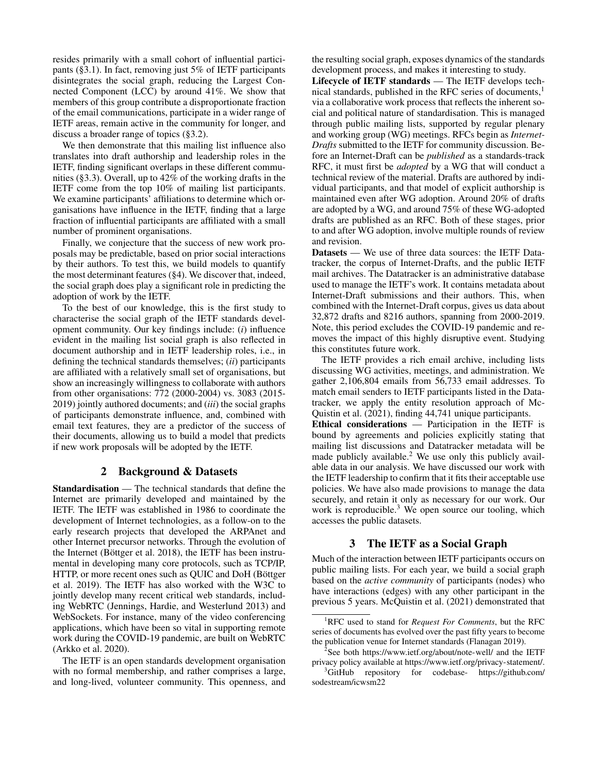resides primarily with a small cohort of influential participants (§3.1). In fact, removing just 5% of IETF participants disintegrates the social graph, reducing the Largest Connected Component (LCC) by around 41%. We show that members of this group contribute a disproportionate fraction of the email communications, participate in a wider range of IETF areas, remain active in the community for longer, and discuss a broader range of topics (§3.2).

We then demonstrate that this mailing list influence also translates into draft authorship and leadership roles in the IETF, finding significant overlaps in these different communities (§3.3). Overall, up to 42% of the working drafts in the IETF come from the top 10% of mailing list participants. We examine participants' affiliations to determine which organisations have influence in the IETF, finding that a large fraction of influential participants are affiliated with a small number of prominent organisations.

Finally, we conjecture that the success of new work proposals may be predictable, based on prior social interactions by their authors. To test this, we build models to quantify the most determinant features (§4). We discover that, indeed, the social graph does play a significant role in predicting the adoption of work by the IETF.

To the best of our knowledge, this is the first study to characterise the social graph of the IETF standards development community. Our key findings include: (*i*) influence evident in the mailing list social graph is also reflected in document authorship and in IETF leadership roles, i.e., in defining the technical standards themselves; (*ii*) participants are affiliated with a relatively small set of organisations, but show an increasingly willingness to collaborate with authors from other organisations: 772 (2000-2004) vs. 3083 (2015- 2019) jointly authored documents; and (*iii*) the social graphs of participants demonstrate influence, and, combined with email text features, they are a predictor of the success of their documents, allowing us to build a model that predicts if new work proposals will be adopted by the IETF.

# 2 Background & Datasets

Standardisation — The technical standards that define the Internet are primarily developed and maintained by the IETF. The IETF was established in 1986 to coordinate the development of Internet technologies, as a follow-on to the early research projects that developed the ARPAnet and other Internet precursor networks. Through the evolution of the Internet (Böttger et al. 2018), the IETF has been instrumental in developing many core protocols, such as TCP/IP, HTTP, or more recent ones such as QUIC and DoH (Böttger et al. 2019). The IETF has also worked with the W3C to jointly develop many recent critical web standards, including WebRTC (Jennings, Hardie, and Westerlund 2013) and WebSockets. For instance, many of the video conferencing applications, which have been so vital in supporting remote work during the COVID-19 pandemic, are built on WebRTC (Arkko et al. 2020).

The IETF is an open standards development organisation with no formal membership, and rather comprises a large, and long-lived, volunteer community. This openness, and

the resulting social graph, exposes dynamics of the standards development process, and makes it interesting to study.

Lifecycle of IETF standards — The IETF develops technical standards, published in the RFC series of documents,<sup>1</sup> via a collaborative work process that reflects the inherent social and political nature of standardisation. This is managed through public mailing lists, supported by regular plenary and working group (WG) meetings. RFCs begin as *Internet-Drafts* submitted to the IETF for community discussion. Before an Internet-Draft can be *published* as a standards-track RFC, it must first be *adopted* by a WG that will conduct a technical review of the material. Drafts are authored by individual participants, and that model of explicit authorship is maintained even after WG adoption. Around 20% of drafts are adopted by a WG, and around 75% of these WG-adopted drafts are published as an RFC. Both of these stages, prior to and after WG adoption, involve multiple rounds of review and revision.

Datasets — We use of three data sources: the IETF Datatracker, the corpus of Internet-Drafts, and the public IETF mail archives. The Datatracker is an administrative database used to manage the IETF's work. It contains metadata about Internet-Draft submissions and their authors. This, when combined with the Internet-Draft corpus, gives us data about 32,872 drafts and 8216 authors, spanning from 2000-2019. Note, this period excludes the COVID-19 pandemic and removes the impact of this highly disruptive event. Studying this constitutes future work.

The IETF provides a rich email archive, including lists discussing WG activities, meetings, and administration. We gather 2,106,804 emails from 56,733 email addresses. To match email senders to IETF participants listed in the Datatracker, we apply the entity resolution approach of Mc-Quistin et al. (2021), finding 44,741 unique participants.

Ethical considerations — Participation in the IETF is bound by agreements and policies explicitly stating that mailing list discussions and Datatracker metadata will be made publicly available.<sup>2</sup> We use only this publicly available data in our analysis. We have discussed our work with the IETF leadership to confirm that it fits their acceptable use policies. We have also made provisions to manage the data securely, and retain it only as necessary for our work. Our work is reproducible.<sup>3</sup> We open source our tooling, which accesses the public datasets.

# 3 The IETF as a Social Graph

Much of the interaction between IETF participants occurs on public mailing lists. For each year, we build a social graph based on the *active community* of participants (nodes) who have interactions (edges) with any other participant in the previous 5 years. McQuistin et al. (2021) demonstrated that

<sup>1</sup>RFC used to stand for *Request For Comments*, but the RFC series of documents has evolved over the past fifty years to become the publication venue for Internet standards (Flanagan 2019).

<sup>&</sup>lt;sup>2</sup>See both https://www.ietf.org/about/note-well/ and the IETF privacy policy available at https://www.ietf.org/privacy-statement/.

<sup>&</sup>lt;sup>3</sup>GitHub repository for codebase- https://github.com/ sodestream/icwsm22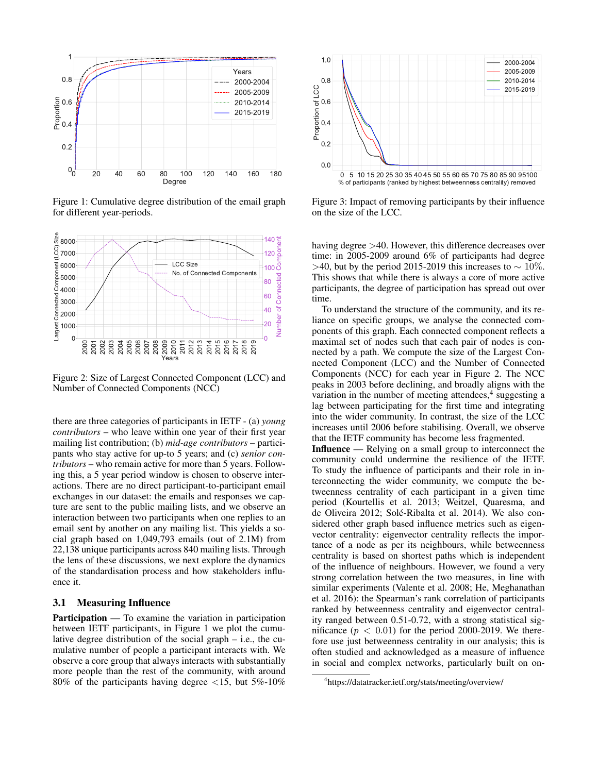

Figure 1: Cumulative degree distribution of the email graph for different year-periods.



Figure 2: Size of Largest Connected Component (LCC) and Number of Connected Components (NCC)

there are three categories of participants in IETF - (a) *young contributors* – who leave within one year of their first year mailing list contribution; (b) *mid-age contributors* – participants who stay active for up-to 5 years; and (c) *senior contributors* – who remain active for more than 5 years. Following this, a 5 year period window is chosen to observe interactions. There are no direct participant-to-participant email exchanges in our dataset: the emails and responses we capture are sent to the public mailing lists, and we observe an interaction between two participants when one replies to an email sent by another on any mailing list. This yields a social graph based on 1,049,793 emails (out of 2.1M) from 22,138 unique participants across 840 mailing lists. Through the lens of these discussions, we next explore the dynamics of the standardisation process and how stakeholders influence it.

#### 3.1 Measuring Influence

Participation — To examine the variation in participation between IETF participants, in Figure 1 we plot the cumulative degree distribution of the social graph – i.e., the cumulative number of people a participant interacts with. We observe a core group that always interacts with substantially more people than the rest of the community, with around 80% of the participants having degree  $\langle 15, \text{ but } 5\% \cdot 10\% \rangle$ 



Figure 3: Impact of removing participants by their influence on the size of the LCC.

having degree  $>40$ . However, this difference decreases over time: in 2005-2009 around 6% of participants had degree >40, but by the period 2015-2019 this increases to  $\sim 10\%$ . This shows that while there is always a core of more active participants, the degree of participation has spread out over time.

To understand the structure of the community, and its reliance on specific groups, we analyse the connected components of this graph. Each connected component reflects a maximal set of nodes such that each pair of nodes is connected by a path. We compute the size of the Largest Connected Component (LCC) and the Number of Connected Components (NCC) for each year in Figure 2. The NCC peaks in 2003 before declining, and broadly aligns with the variation in the number of meeting attendees,<sup>4</sup> suggesting a lag between participating for the first time and integrating into the wider community. In contrast, the size of the LCC increases until 2006 before stabilising. Overall, we observe that the IETF community has become less fragmented.

Influence — Relying on a small group to interconnect the community could undermine the resilience of the IETF. To study the influence of participants and their role in interconnecting the wider community, we compute the betweenness centrality of each participant in a given time period (Kourtellis et al. 2013; Weitzel, Quaresma, and de Oliveira 2012; Solé-Ribalta et al. 2014). We also considered other graph based influence metrics such as eigenvector centrality: eigenvector centrality reflects the importance of a node as per its neighbours, while betweenness centrality is based on shortest paths which is independent of the influence of neighbours. However, we found a very strong correlation between the two measures, in line with similar experiments (Valente et al. 2008; He, Meghanathan et al. 2016): the Spearman's rank correlation of participants ranked by betweenness centrality and eigenvector centrality ranged between 0.51-0.72, with a strong statistical significance  $(p < 0.01)$  for the period 2000-2019. We therefore use just betweenness centrality in our analysis; this is often studied and acknowledged as a measure of influence in social and complex networks, particularly built on on-

<sup>4</sup> https://datatracker.ietf.org/stats/meeting/overview/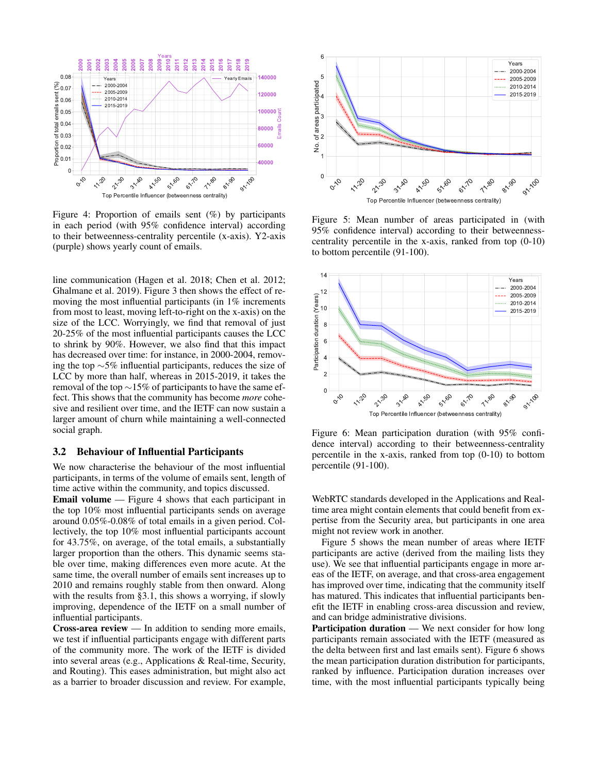

Figure 4: Proportion of emails sent (%) by participants in each period (with 95% confidence interval) according to their betweenness-centrality percentile (x-axis). Y2-axis (purple) shows yearly count of emails.

line communication (Hagen et al. 2018; Chen et al. 2012; Ghalmane et al. 2019). Figure 3 then shows the effect of removing the most influential participants (in 1% increments from most to least, moving left-to-right on the x-axis) on the size of the LCC. Worryingly, we find that removal of just 20-25% of the most influential participants causes the LCC to shrink by 90%. However, we also find that this impact has decreased over time: for instance, in 2000-2004, removing the top ∼5% influential participants, reduces the size of LCC by more than half, whereas in 2015-2019, it takes the removal of the top ∼15% of participants to have the same effect. This shows that the community has become *more* cohesive and resilient over time, and the IETF can now sustain a larger amount of churn while maintaining a well-connected social graph.  $\int_0^{\infty} \int_0^{\infty} \int_0^{\infty} \int_0^{\infty} \int_0^{\infty} \int_0^{\infty} \int_0^{\infty} \int_0^{\infty} \int_0^{\infty} \int_0^{\infty} \int_0^{\infty} \int_0^{\infty} \int_0^{\infty} \int_0^{\infty} \int_0^{\infty} \int_0^{\infty} \int_0^{\infty} \int_0^{\infty} \int_0^{\infty} \int_0^{\infty} \int_0^{\infty} \int_0^{\infty} \int_0^{\infty} \int_0^{\infty} \int_0$ 

### 3.2 Behaviour of Influential Participants

We now characterise the behaviour of the most influential participants, in terms of the volume of emails sent, length of time active within the community, and topics discussed.

Email volume — Figure 4 shows that each participant in the top 10% most influential participants sends on average around 0.05%-0.08% of total emails in a given period. Collectively, the top 10% most influential participants account for 43.75%, on average, of the total emails, a substantially larger proportion than the others. This dynamic seems stable over time, making differences even more acute. At the same time, the overall number of emails sent increases up to 2010 and remains roughly stable from then onward. Along with the results from §3.1, this shows a worrying, if slowly improving, dependence of the IETF on a small number of influential participants.

Cross-area review — In addition to sending more emails, we test if influential participants engage with different parts of the community more. The work of the IETF is divided into several areas (e.g., Applications & Real-time, Security, and Routing). This eases administration, but might also act



Figure 5: Mean number of areas participated in (with 95% confidence interval) according to their betweennesscentrality percentile in the x-axis, ranked from top (0-10) to bottom percentile (91-100).



Figure 6: Mean participation duration (with 95% confidence interval) according to their betweenness-centrality percentile in the x-axis, ranked from top (0-10) to bottom percentile (91-100).

WebRTC standards developed in the Applications and Realtime area might contain elements that could benefit from expertise from the Security area, but participants in one area might not review work in another.

Figure 5 shows the mean number of areas where IETF participants are active (derived from the mailing lists they use). We see that influential participants engage in more areas of the IETF, on average, and that cross-area engagement has improved over time, indicating that the community itself has matured. This indicates that influential participants benefit the IETF in enabling cross-area discussion and review, and can bridge administrative divisions.

Participation duration — We next consider for how long participants remain associated with the IETF (measured as the delta between first and last emails sent). Figure 6 shows the mean participation duration distribution for participants, ranked by influence. Participation duration increases over time, with the most influential participants typically being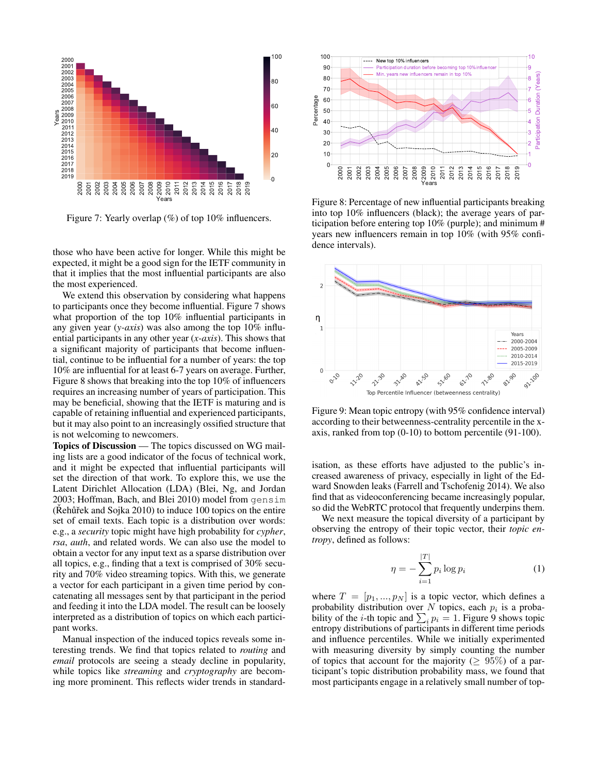

Figure 7: Yearly overlap (%) of top 10% influencers.

those who have been active for longer. While this might be expected, it might be a good sign for the IETF community in that it implies that the most influential participants are also the most experienced.

We extend this observation by considering what happens to participants once they become influential. Figure 7 shows what proportion of the top 10% influential participants in any given year (*y-axis*) was also among the top 10% influential participants in any other year (*x-axis*). This shows that a significant majority of participants that become influential, continue to be influential for a number of years: the top 10% are influential for at least 6-7 years on average. Further, Figure 8 shows that breaking into the top 10% of influencers requires an increasing number of years of participation. This may be beneficial, showing that the IETF is maturing and is capable of retaining influential and experienced participants, but it may also point to an increasingly ossified structure that is not welcoming to newcomers.

Topics of Discussion — The topics discussed on WG mailing lists are a good indicator of the focus of technical work, and it might be expected that influential participants will set the direction of that work. To explore this, we use the Latent Dirichlet Allocation (LDA) (Blei, Ng, and Jordan 2003; Hoffman, Bach, and Blei 2010) model from gensim  $(Rehuřek and Sojka 2010)$  to induce 100 topics on the entire set of email texts. Each topic is a distribution over words: e.g., a *security* topic might have high probability for *cypher*, *rsa*, *auth*, and related words. We can also use the model to obtain a vector for any input text as a sparse distribution over all topics, e.g., finding that a text is comprised of 30% security and 70% video streaming topics. With this, we generate a vector for each participant in a given time period by concatenating all messages sent by that participant in the period and feeding it into the LDA model. The result can be loosely interpreted as a distribution of topics on which each participant works. **Example of restandant and prominent and prominent and prominent works with the control of**  $\frac{2}{3}$  **and**  $\frac{2}{3}$  **and**  $\frac{2}{3}$  **and**  $\frac{2}{3}$  **and**  $\frac{2}{3}$  **and**  $\frac{2}{3}$  **and**  $\frac{2}{3}$  **and**  $\frac{2}{3}$  **and**  $\frac{2}{3}$  **and \frac{** 

Manual inspection of the induced topics reveals some interesting trends. We find that topics related to *routing* and *email* protocols are seeing a steady decline in popularity, while topics like *streaming* and *cryptography* are becom-



Figure 8: Percentage of new influential participants breaking into top 10% influencers (black); the average years of participation before entering top 10% (purple); and minimum # years new influencers remain in top 10% (with 95% confidence intervals).



Figure 9: Mean topic entropy (with 95% confidence interval) according to their betweenness-centrality percentile in the xaxis, ranked from top (0-10) to bottom percentile (91-100).

isation, as these efforts have adjusted to the public's increased awareness of privacy, especially in light of the Edward Snowden leaks (Farrell and Tschofenig 2014). We also find that as videoconferencing became increasingly popular, so did the WebRTC protocol that frequently underpins them.

We next measure the topical diversity of a participant by observing the entropy of their topic vector, their *topic entropy*, defined as follows:

$$
\eta = -\sum_{i=1}^{|T|} p_i \log p_i \tag{1}
$$

where  $T = [p_1, ..., p_N]$  is a topic vector, which defines a probability distribution over N topics, each  $p_i$  is a probability of the *i*-th topic and  $\sum_i p_i = 1$ . Figure 9 shows topic entropy distributions of participants in different time periods and influence percentiles. While we initially experimented with measuring diversity by simply counting the number of topics that account for the majority ( $\geq 95\%$ ) of a participant's topic distribution probability mass, we found that most participants engage in a relatively small number of top-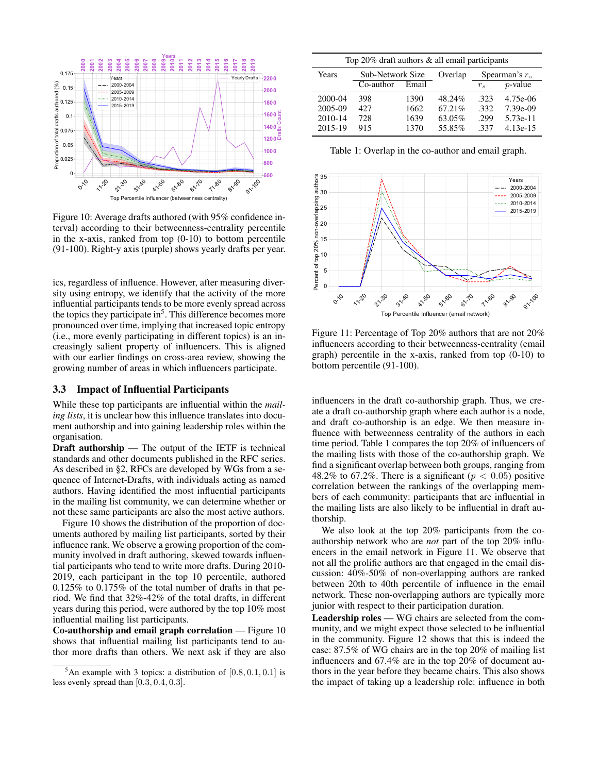

Figure 10: Average drafts authored (with 95% confidence interval) according to their betweenness-centrality percentile in the x-axis, ranked from top  $(0-10)$  to bottom percentile (91-100). Right-y axis (purple) shows yearly drafts per year.

ics, regardless of influence. However, after measuring diversity using entropy, we identify that the activity of the more influential participants tends to be more evenly spread across the topics they participate in<sup>5</sup>. This difference becomes more pronounced over time, implying that increased topic entropy (i.e., more evenly participating in different topics) is an increasingly salient property of influencers. This is aligned with our earlier findings on cross-area review, showing the growing number of areas in which influencers participate.

#### 3.3 Impact of Influential Participants

While these top participants are influential within the *mailing lists*, it is unclear how this influence translates into document authorship and into gaining leadership roles within the organisation.

Draft authorship — The output of the IETF is technical standards and other documents published in the RFC series. As described in §2, RFCs are developed by WGs from a sequence of Internet-Drafts, with individuals acting as named authors. Having identified the most influential participants in the mailing list community, we can determine whether or not these same participants are also the most active authors.

Figure 10 shows the distribution of the proportion of documents authored by mailing list participants, sorted by their influence rank. We observe a growing proportion of the community involved in draft authoring, skewed towards influential participants who tend to write more drafts. During 2010- 2019, each participant in the top 10 percentile, authored 0.125% to 0.175% of the total number of drafts in that period. We find that 32%-42% of the total drafts, in different years during this period, were authored by the top 10% most influential mailing list participants.

Co-authorship and email graph correlation — Figure 10 shows that influential mailing list participants tend to author more drafts than others. We next ask if they are also

| Top 20% draft authors & all email participants |                  |       |         |                  |            |  |  |
|------------------------------------------------|------------------|-------|---------|------------------|------------|--|--|
| Years                                          | Sub-Network Size |       | Overlap | Spearman's $r_s$ |            |  |  |
|                                                | Co-author        | Email |         | $r_{s}$          | $p$ -value |  |  |
| 2000-04                                        | 398              | 1390  | 48.24%  | .323             | 4.75e-06   |  |  |
| 2005-09                                        | 427              | 1662  | 67.21%  | .332             | 7.39e-09   |  |  |
| 2010-14                                        | 728              | 1639  | 63.05%  | .299             | 5.73e-11   |  |  |
| 2015-19                                        | 915              | 1370  | 55.85%  | -337             | $4.13e-15$ |  |  |

Table 1: Overlap in the co-author and email graph.



Figure 11: Percentage of Top 20% authors that are not 20% influencers according to their betweenness-centrality (email graph) percentile in the x-axis, ranked from top (0-10) to bottom percentile (91-100).

influencers in the draft co-authorship graph. Thus, we create a draft co-authorship graph where each author is a node, and draft co-authorship is an edge. We then measure influence with betweenness centrality of the authors in each time period. Table 1 compares the top 20% of influencers of the mailing lists with those of the co-authorship graph. We find a significant overlap between both groups, ranging from 48.2% to 67.2%. There is a significant ( $p < 0.05$ ) positive correlation between the rankings of the overlapping members of each community: participants that are influential in the mailing lists are also likely to be influential in draft authorship.

We also look at the top 20% participants from the coauthorship network who are *not* part of the top 20% influencers in the email network in Figure 11. We observe that not all the prolific authors are that engaged in the email discussion: 40%-50% of non-overlapping authors are ranked between 20th to 40th percentile of influence in the email network. These non-overlapping authors are typically more junior with respect to their participation duration.

Leadership roles — WG chairs are selected from the community, and we might expect those selected to be influential in the community. Figure 12 shows that this is indeed the case: 87.5% of WG chairs are in the top 20% of mailing list influencers and 67.4% are in the top 20% of document authors in the year before they became chairs. This also shows the impact of taking up a leadership role: influence in both

<sup>&</sup>lt;sup>5</sup>An example with 3 topics: a distribution of  $[0.8, 0.1, 0.1]$  is less evenly spread than [0.3, 0.4, 0.3].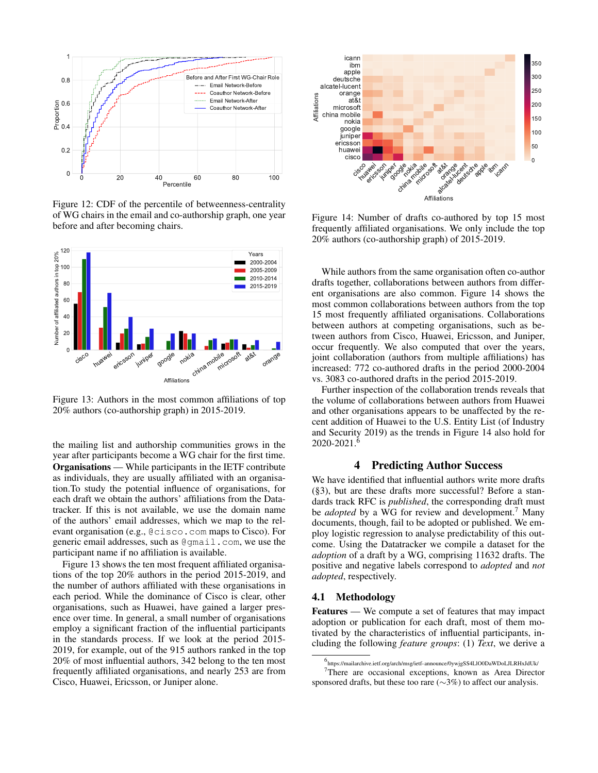

Figure 12: CDF of the percentile of betweenness-centrality of WG chairs in the email and co-authorship graph, one year before and after becoming chairs.



Figure 13: Authors in the most common affiliations of top 20% authors (co-authorship graph) in 2015-2019.

the mailing list and authorship communities grows in the year after participants become a WG chair for the first time. Organisations — While participants in the IETF contribute as individuals, they are usually affiliated with an organisation.To study the potential influence of organisations, for each draft we obtain the authors' affiliations from the Datatracker. If this is not available, we use the domain name of the authors' email addresses, which we map to the relevant organisation (e.g., @cisco.com maps to Cisco). For generic email addresses, such as @gmail.com, we use the participant name if no affiliation is available.

Figure 13 shows the ten most frequent affiliated organisations of the top 20% authors in the period 2015-2019, and the number of authors affiliated with these organisations in each period. While the dominance of Cisco is clear, other organisations, such as Huawei, have gained a larger presence over time. In general, a small number of organisations employ a significant fraction of the influential participants in the standards process. If we look at the period 2015- 2019, for example, out of the 915 authors ranked in the top 20% of most influential authors, 342 belong to the ten most frequently affiliated organisations, and nearly 253 are from Cisco, Huawei, Ericsson, or Juniper alone.



Figure 14: Number of drafts co-authored by top 15 most frequently affiliated organisations. We only include the top 20% authors (co-authorship graph) of 2015-2019.

While authors from the same organisation often co-author drafts together, collaborations between authors from different organisations are also common. Figure 14 shows the most common collaborations between authors from the top 15 most frequently affiliated organisations. Collaborations between authors at competing organisations, such as between authors from Cisco, Huawei, Ericsson, and Juniper, occur frequently. We also computed that over the years, joint collaboration (authors from multiple affiliations) has increased: 772 co-authored drafts in the period 2000-2004 vs. 3083 co-authored drafts in the period 2015-2019.

Further inspection of the collaboration trends reveals that the volume of collaborations between authors from Huawei and other organisations appears to be unaffected by the recent addition of Huawei to the U.S. Entity List (of Industry and Security 2019) as the trends in Figure 14 also hold for  $2020 - 2021$ .

# 4 Predicting Author Success

We have identified that influential authors write more drafts (§3), but are these drafts more successful? Before a standards track RFC is *published*, the corresponding draft must be *adopted* by a WG for review and development.<sup>7</sup> Many documents, though, fail to be adopted or published. We employ logistic regression to analyse predictability of this outcome. Using the Datatracker we compile a dataset for the *adoption* of a draft by a WG, comprising 11632 drafts. The positive and negative labels correspond to *adopted* and *not adopted*, respectively.

#### 4.1 Methodology

Features — We compute a set of features that may impact adoption or publication for each draft, most of them motivated by the characteristics of influential participants, including the following *feature groups*: (1) *Text*, we derive a

<sup>6</sup> https://mailarchive.ietf.org/arch/msg/ietf-announce/0ywjgSS4LlO0DaWDoLJLRHxJdUk/ <sup>7</sup>There are occasional exceptions, known as Area Director

sponsored drafts, but these too rare (∼3%) to affect our analysis.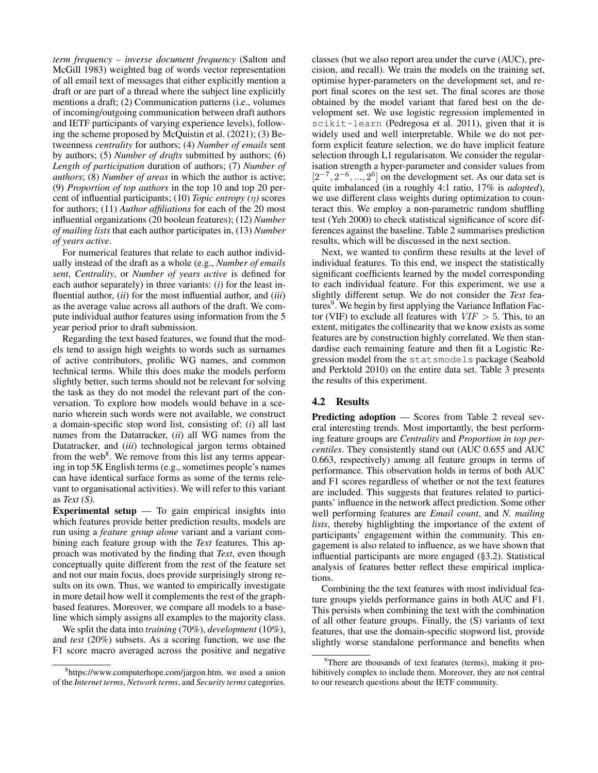*term frequency – inverse document frequency* (Salton and McGill 1983) weighted bag of words vector representation of all email text of messages that either explicitly mention a draft or are part of a thread where the subject line explicitly mentions a draft; (2) Communication patterns (i.e., volumes of incoming/outgoing communication between draft authors and IETF participants of varying experience levels), following the scheme proposed by McQuistin et al. (2021); (3) Betweenness *centrality* for authors; (4) *Number of emails* sent by authors; (5) *Number of drafts* submitted by authors; (6) *Length of participation* duration of authors; (7) *Number of authors*; (8) *Number of areas* in which the author is active; (9) *Proportion of top authors* in the top 10 and top 20 percent of influential participants; (10) *Topic entropy (*η*)* scores for authors; (11) *Author affiliations* for each of the 20 most influential organizations (20 boolean features); (12) *Number of mailing lists* that each author participates in, (13) *Number of years active*.

For numerical features that relate to each author individually instead of the draft as a whole (e.g., *Number of emails sent*, *Centrality*, or *Number of years active* is defined for each author separately) in three variants: (*i*) for the least influential author, (*ii*) for the most influential author, and (*iii*) as the average value across all authors of the draft. We compute individual author features using information from the 5 year period prior to draft submission.

Regarding the text based features, we found that the models tend to assign high weights to words such as surnames of active contributors, prolific WG names, and common technical terms. While this does make the models perform slightly better, such terms should not be relevant for solving the task as they do not model the relevant part of the conversation. To explore how models would behave in a scenario wherein such words were not available, we construct a domain-specific stop word list, consisting of: (*i*) all last names from the Datatracker, (*ii*) all WG names from the Datatracker, and (*iii*) technological jargon terms obtained from the web<sup>8</sup>. We remove from this list any terms appearing in top 5K English terms (e.g., sometimes people's names can have identical surface forms as some of the terms relevant to organisational activities). We will refer to this variant as *Text (S)*.

Experimental setup  $-$  To gain empirical insights into which features provide better prediction results, models are run using a *feature group alone* variant and a variant combining each feature group with the *Text* features. This approach was motivated by the finding that *Text*, even though conceptually quite different from the rest of the feature set and not our main focus, does provide surprisingly strong results on its own. Thus, we wanted to empirically investigate in more detail how well it complements the rest of the graphbased features. Moreover, we compare all models to a baseline which simply assigns all examples to the majority class.

We split the data into *training* (70%), *development* (10%), and *test* (20%) subsets. As a scoring function, we use the F1 score macro averaged across the positive and negative classes (but we also report area under the curve (AUC), precision, and recall). We train the models on the training set, optimise hyper-parameters on the development set, and report final scores on the test set. The final scores are those obtained by the model variant that fared best on the development set. We use logistic regression implemented in scikit-learn (Pedregosa et al. 2011), given that it is widely used and well interpretable. While we do not perform explicit feature selection, we do have implicit feature selection through L1 regularisaton. We consider the regularisation strength a hyper-parameter and consider values from  $[2^{-7}, 2^{-6}, ..., 2^{6}]$  on the development set. As our data set is quite imbalanced (in a roughly 4:1 ratio, 17% is *adopted*), we use different class weights during optimization to counteract this. We employ a non-parametric random shuffling test (Yeh 2000) to check statistical significance of score differences against the baseline. Table 2 summarises prediction results, which will be discussed in the next section.

Next, we wanted to confirm these results at the level of individual features. To this end, we inspect the statistically significant coefficients learned by the model corresponding to each individual feature. For this experiment, we use a slightly different setup. We do not consider the *Text* features<sup>9</sup>. We begin by first applying the Variance Inflation Factor (VIF) to exclude all features with  $VIF > 5$ . This, to an extent, mitigates the collinearity that we know exists as some features are by construction highly correlated. We then standardise each remaining feature and then fit a Logistic Regression model from the statsmodels package (Seabold and Perktold 2010) on the entire data set. Table 3 presents the results of this experiment.

# 4.2 Results

Predicting adoption — Scores from Table 2 reveal several interesting trends. Most importantly, the best performing feature groups are *Centrality* and *Proportion in top percentiles*. They consistently stand out (AUC 0.655 and AUC 0.663, respectively) among all feature groups in terms of performance. This observation holds in terms of both AUC and F1 scores regardless of whether or not the text features are included. This suggests that features related to participants' influence in the network affect prediction. Some other well performing features are *Email count*, and *N. mailing lists*, thereby highlighting the importance of the extent of participants' engagement within the community. This engagement is also related to influence, as we have shown that influential participants are more engaged (§3.2). Statistical analysis of features better reflect these empirical implications.

Combining the the text features with most individual feature groups yields performance gains in both AUC and F1. This persists when combining the text with the combination of all other feature groups. Finally, the (S) variants of text features, that use the domain-specific stopword list, provide slightly worse standalone performance and benefits when

<sup>8</sup> https://www.computerhope.com/jargon.htm, we used a union of the *Internet terms*, *Network terms*, and *Security terms* categories.

 $9^9$ There are thousands of text features (terms), making it prohibitively complex to include them. Moreover, they are not central to our research questions about the IETF community.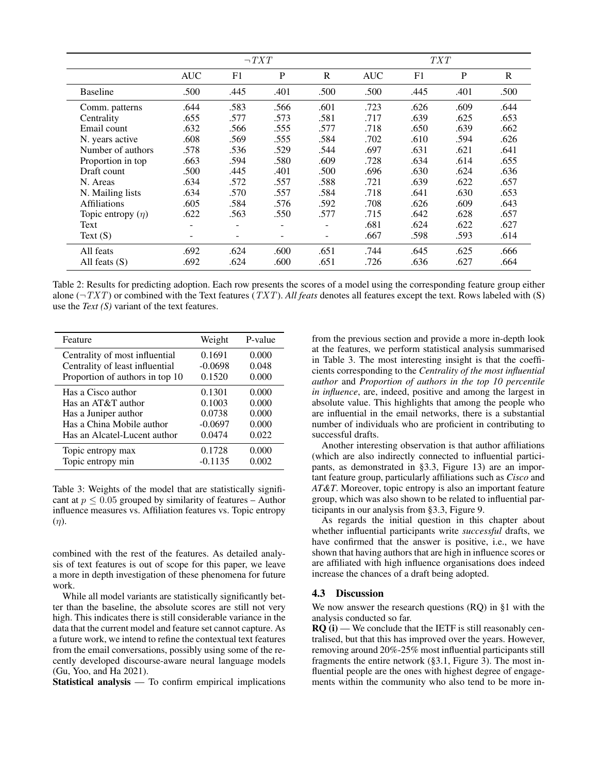|                        | $\neg TXT$ |      |      | <i>TXT</i> |            |                |      |      |
|------------------------|------------|------|------|------------|------------|----------------|------|------|
|                        | <b>AUC</b> | F1   | P    | R          | <b>AUC</b> | F <sub>1</sub> | P    | R    |
| <b>Baseline</b>        | .500       | .445 | .401 | .500       | .500       | .445           | .401 | .500 |
| Comm. patterns         | .644       | .583 | .566 | .601       | .723       | .626           | .609 | .644 |
| Centrality             | .655       | .577 | .573 | .581       | .717       | .639           | .625 | .653 |
| Email count            | .632       | .566 | .555 | .577       | .718       | .650           | .639 | .662 |
| N. years active        | .608       | .569 | .555 | .584       | .702       | .610           | .594 | .626 |
| Number of authors      | .578       | .536 | .529 | .544       | .697       | .631           | .621 | .641 |
| Proportion in top      | .663       | .594 | .580 | .609       | .728       | .634           | .614 | .655 |
| Draft count            | .500       | .445 | .401 | .500       | .696       | .630           | .624 | .636 |
| N. Areas               | .634       | .572 | .557 | .588       | .721       | .639           | .622 | .657 |
| N. Mailing lists       | .634       | .570 | .557 | .584       | .718       | .641           | .630 | .653 |
| Affiliations           | .605       | .584 | .576 | .592       | .708       | .626           | .609 | .643 |
| Topic entropy $(\eta)$ | .622       | .563 | .550 | .577       | .715       | .642           | .628 | .657 |
| Text                   | ۰          |      | ۰    |            | .681       | .624           | .622 | .627 |
| Text $(S)$             | ۰          |      |      | ٠          | .667       | .598           | .593 | .614 |
| All feats              | .692       | .624 | .600 | .651       | .744       | .645           | .625 | .666 |
| All feats $(S)$        | .692       | .624 | .600 | .651       | .726       | .636           | .627 | .664 |

Table 2: Results for predicting adoption. Each row presents the scores of a model using the corresponding feature group either alone  $(\neg TXT)$  or combined with the Text features (TXT). All feats denotes all features except the text. Rows labeled with (S) use the *Text (S)* variant of the text features.

| Feature                         | Weight    | P-value |
|---------------------------------|-----------|---------|
| Centrality of most influential  | 0.1691    | 0.000   |
| Centrality of least influential | $-0.0698$ | 0.048   |
| Proportion of authors in top 10 | 0.1520    | 0.000   |
| Has a Cisco author              | 0.1301    | 0.000   |
| Has an AT&T author              | 0.1003    | 0.000   |
| Has a Juniper author            | 0.0738    | 0.000   |
| Has a China Mobile author       | $-0.0697$ | 0.000   |
| Has an Alcatel-Lucent author    | 0.0474    | 0.022   |
| Topic entropy max               | 0.1728    | 0.000   |
| Topic entropy min               | $-0.1135$ | 0.002   |

Table 3: Weights of the model that are statistically significant at  $p \leq 0.05$  grouped by similarity of features – Author influence measures vs. Affiliation features vs. Topic entropy  $(\eta)$ .

combined with the rest of the features. As detailed analysis of text features is out of scope for this paper, we leave a more in depth investigation of these phenomena for future work.

While all model variants are statistically significantly better than the baseline, the absolute scores are still not very high. This indicates there is still considerable variance in the data that the current model and feature set cannot capture. As a future work, we intend to refine the contextual text features from the email conversations, possibly using some of the recently developed discourse-aware neural language models (Gu, Yoo, and Ha 2021).

Statistical analysis — To confirm empirical implications

from the previous section and provide a more in-depth look at the features, we perform statistical analysis summarised in Table 3. The most interesting insight is that the coefficients corresponding to the *Centrality of the most influential author* and *Proportion of authors in the top 10 percentile in influence*, are, indeed, positive and among the largest in absolute value. This highlights that among the people who are influential in the email networks, there is a substantial number of individuals who are proficient in contributing to successful drafts.

Another interesting observation is that author affiliations (which are also indirectly connected to influential participants, as demonstrated in §3.3, Figure 13) are an important feature group, particularly affiliations such as *Cisco* and *AT&T*. Moreover, topic entropy is also an important feature group, which was also shown to be related to influential participants in our analysis from §3.3, Figure 9.

As regards the initial question in this chapter about whether influential participants write *successful* drafts, we have confirmed that the answer is positive, i.e., we have shown that having authors that are high in influence scores or are affiliated with high influence organisations does indeed increase the chances of a draft being adopted.

### 4.3 Discussion

We now answer the research questions (RQ) in §1 with the analysis conducted so far.

 $RQ(i)$  — We conclude that the IETF is still reasonably centralised, but that this has improved over the years. However, removing around 20%-25% most influential participants still fragments the entire network (§3.1, Figure 3). The most influential people are the ones with highest degree of engagements within the community who also tend to be more in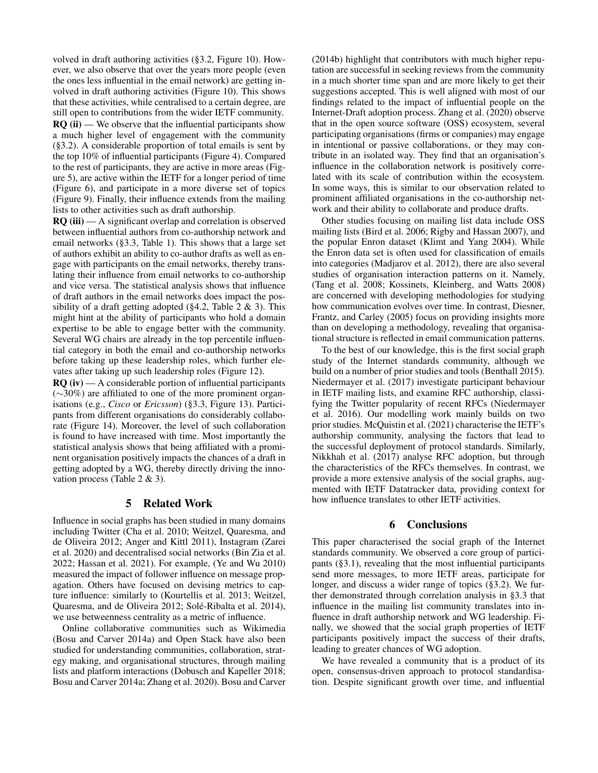volved in draft authoring activities (§3.2, Figure 10). However, we also observe that over the years more people (even the ones less influential in the email network) are getting involved in draft authoring activities (Figure 10). This shows that these activities, while centralised to a certain degree, are still open to contributions from the wider IETF community.  $RQ$  (ii) — We observe that the influential participants show a much higher level of engagement with the community (§3.2). A considerable proportion of total emails is sent by the top 10% of influential participants (Figure 4). Compared to the rest of participants, they are active in more areas (Figure 5), are active within the IETF for a longer period of time (Figure 6), and participate in a more diverse set of topics (Figure 9). Finally, their influence extends from the mailing lists to other activities such as draft authorship.

 $RQ$  (iii) — A significant overlap and correlation is observed between influential authors from co-authorship network and email networks (§3.3, Table 1). This shows that a large set of authors exhibit an ability to co-author drafts as well as engage with participants on the email networks, thereby translating their influence from email networks to co-authorship and vice versa. The statistical analysis shows that influence of draft authors in the email networks does impact the possibility of a draft getting adopted ( $\S 4.2$ , Table 2 & 3). This might hint at the ability of participants who hold a domain expertise to be able to engage better with the community. Several WG chairs are already in the top percentile influential category in both the email and co-authorship networks before taking up these leadership roles, which further elevates after taking up such leadership roles (Figure 12).

 $RO (iv)$  — A considerable portion of influential participants (∼30%) are affiliated to one of the more prominent organisations (e.g., *Cisco* or *Ericsson*) (§3.3, Figure 13). Participants from different organisations do considerably collaborate (Figure 14). Moreover, the level of such collaboration is found to have increased with time. Most importantly the statistical analysis shows that being affiliated with a prominent organisation positively impacts the chances of a draft in getting adopted by a WG, thereby directly driving the innovation process (Table 2 & 3).

# 5 Related Work

Influence in social graphs has been studied in many domains including Twitter (Cha et al. 2010; Weitzel, Quaresma, and de Oliveira 2012; Anger and Kittl 2011), Instagram (Zarei et al. 2020) and decentralised social networks (Bin Zia et al. 2022; Hassan et al. 2021). For example, (Ye and Wu 2010) measured the impact of follower influence on message propagation. Others have focused on devising metrics to capture influence: similarly to (Kourtellis et al. 2013; Weitzel, Quaresma, and de Oliveira 2012; Solé-Ribalta et al. 2014), we use betweenness centrality as a metric of influence.

Online collaborative communities such as Wikimedia (Bosu and Carver 2014a) and Open Stack have also been studied for understanding communities, collaboration, strategy making, and organisational structures, through mailing lists and platform interactions (Dobusch and Kapeller 2018; Bosu and Carver 2014a; Zhang et al. 2020). Bosu and Carver

(2014b) highlight that contributors with much higher reputation are successful in seeking reviews from the community in a much shorter time span and are more likely to get their suggestions accepted. This is well aligned with most of our findings related to the impact of influential people on the Internet-Draft adoption process. Zhang et al. (2020) observe that in the open source software (OSS) ecosystem, several participating organisations (firms or companies) may engage in intentional or passive collaborations, or they may contribute in an isolated way. They find that an organisation's influence in the collaboration network is positively correlated with its scale of contribution within the ecosystem. In some ways, this is similar to our observation related to prominent affiliated organisations in the co-authorship network and their ability to collaborate and produce drafts.

Other studies focusing on mailing list data include OSS mailing lists (Bird et al. 2006; Rigby and Hassan 2007), and the popular Enron dataset (Klimt and Yang 2004). While the Enron data set is often used for classification of emails into categories (Madjarov et al. 2012), there are also several studies of organisation interaction patterns on it. Namely, (Tang et al. 2008; Kossinets, Kleinberg, and Watts 2008) are concerned with developing methodologies for studying how communication evolves over time. In contrast, Diesner, Frantz, and Carley (2005) focus on providing insights more than on developing a methodology, revealing that organisational structure is reflected in email communication patterns.

To the best of our knowledge, this is the first social graph study of the Internet standards community, although we build on a number of prior studies and tools (Benthall 2015). Niedermayer et al. (2017) investigate participant behaviour in IETF mailing lists, and examine RFC authorship, classifying the Twitter popularity of recent RFCs (Niedermayer et al. 2016). Our modelling work mainly builds on two prior studies. McQuistin et al. (2021) characterise the IETF's authorship community, analysing the factors that lead to the successful deployment of protocol standards. Similarly, Nikkhah et al. (2017) analyse RFC adoption, but through the characteristics of the RFCs themselves. In contrast, we provide a more extensive analysis of the social graphs, augmented with IETF Datatracker data, providing context for how influence translates to other IETF activities.

### 6 Conclusions

This paper characterised the social graph of the Internet standards community. We observed a core group of participants (§3.1), revealing that the most influential participants send more messages, to more IETF areas, participate for longer, and discuss a wider range of topics (§3.2). We further demonstrated through correlation analysis in §3.3 that influence in the mailing list community translates into influence in draft authorship network and WG leadership. Finally, we showed that the social graph properties of IETF participants positively impact the success of their drafts, leading to greater chances of WG adoption.

We have revealed a community that is a product of its open, consensus-driven approach to protocol standardisation. Despite significant growth over time, and influential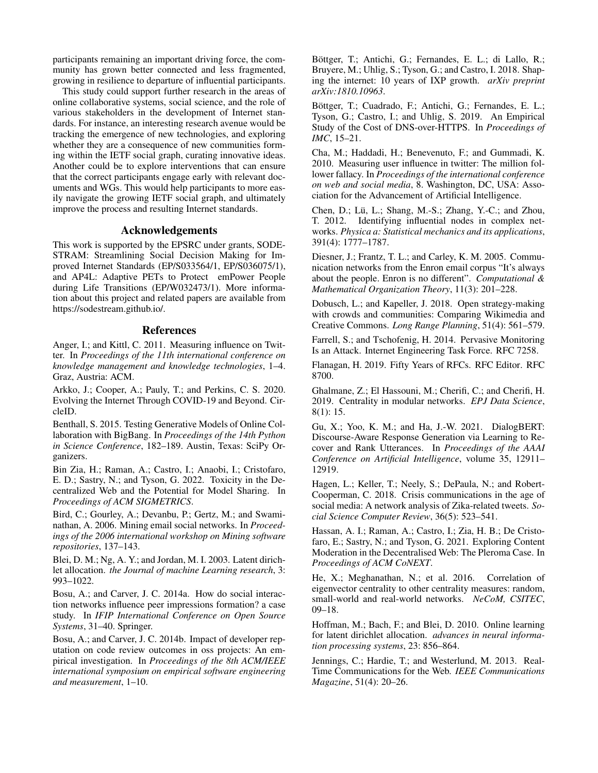participants remaining an important driving force, the community has grown better connected and less fragmented, growing in resilience to departure of influential participants.

This study could support further research in the areas of online collaborative systems, social science, and the role of various stakeholders in the development of Internet standards. For instance, an interesting research avenue would be tracking the emergence of new technologies, and exploring whether they are a consequence of new communities forming within the IETF social graph, curating innovative ideas. Another could be to explore interventions that can ensure that the correct participants engage early with relevant documents and WGs. This would help participants to more easily navigate the growing IETF social graph, and ultimately improve the process and resulting Internet standards.

### Acknowledgements

This work is supported by the EPSRC under grants, SODE-STRAM: Streamlining Social Decision Making for Improved Internet Standards (EP/S033564/1, EP/S036075/1), and AP4L: Adaptive PETs to Protect emPower People during Life Transitions (EP/W032473/1). More information about this project and related papers are available from https://sodestream.github.io/.

#### References

Anger, I.; and Kittl, C. 2011. Measuring influence on Twitter. In *Proceedings of the 11th international conference on knowledge management and knowledge technologies*, 1–4. Graz, Austria: ACM.

Arkko, J.; Cooper, A.; Pauly, T.; and Perkins, C. S. 2020. Evolving the Internet Through COVID-19 and Beyond. CircleID.

Benthall, S. 2015. Testing Generative Models of Online Collaboration with BigBang. In *Proceedings of the 14th Python in Science Conference*, 182–189. Austin, Texas: SciPy Organizers.

Bin Zia, H.; Raman, A.; Castro, I.; Anaobi, I.; Cristofaro, E. D.; Sastry, N.; and Tyson, G. 2022. Toxicity in the Decentralized Web and the Potential for Model Sharing. In *Proceedings of ACM SIGMETRICS*.

Bird, C.; Gourley, A.; Devanbu, P.; Gertz, M.; and Swaminathan, A. 2006. Mining email social networks. In *Proceedings of the 2006 international workshop on Mining software repositories*, 137–143.

Blei, D. M.; Ng, A. Y.; and Jordan, M. I. 2003. Latent dirichlet allocation. *the Journal of machine Learning research*, 3: 993–1022.

Bosu, A.; and Carver, J. C. 2014a. How do social interaction networks influence peer impressions formation? a case study. In *IFIP International Conference on Open Source Systems*, 31–40. Springer.

Bosu, A.; and Carver, J. C. 2014b. Impact of developer reputation on code review outcomes in oss projects: An empirical investigation. In *Proceedings of the 8th ACM/IEEE international symposium on empirical software engineering and measurement*, 1–10.

Böttger, T.; Antichi, G.; Fernandes, E. L.; di Lallo, R.; Bruyere, M.; Uhlig, S.; Tyson, G.; and Castro, I. 2018. Shaping the internet: 10 years of IXP growth. *arXiv preprint arXiv:1810.10963*.

Böttger, T.; Cuadrado, F.; Antichi, G.; Fernandes, E. L.; Tyson, G.; Castro, I.; and Uhlig, S. 2019. An Empirical Study of the Cost of DNS-over-HTTPS. In *Proceedings of IMC*, 15–21.

Cha, M.; Haddadi, H.; Benevenuto, F.; and Gummadi, K. 2010. Measuring user influence in twitter: The million follower fallacy. In *Proceedings of the international conference on web and social media*, 8. Washington, DC, USA: Association for the Advancement of Artificial Intelligence.

Chen, D.; Lü, L.; Shang, M.-S.; Zhang, Y.-C.; and Zhou, T. 2012. Identifying influential nodes in complex networks. *Physica a: Statistical mechanics and its applications*, 391(4): 1777–1787.

Diesner, J.; Frantz, T. L.; and Carley, K. M. 2005. Communication networks from the Enron email corpus "It's always about the people. Enron is no different". *Computational & Mathematical Organization Theory*, 11(3): 201–228.

Dobusch, L.; and Kapeller, J. 2018. Open strategy-making with crowds and communities: Comparing Wikimedia and Creative Commons. *Long Range Planning*, 51(4): 561–579.

Farrell, S.; and Tschofenig, H. 2014. Pervasive Monitoring Is an Attack. Internet Engineering Task Force. RFC 7258.

Flanagan, H. 2019. Fifty Years of RFCs. RFC Editor. RFC 8700.

Ghalmane, Z.; El Hassouni, M.; Cherifi, C.; and Cherifi, H. 2019. Centrality in modular networks. *EPJ Data Science*, 8(1): 15.

Gu, X.; Yoo, K. M.; and Ha, J.-W. 2021. DialogBERT: Discourse-Aware Response Generation via Learning to Recover and Rank Utterances. In *Proceedings of the AAAI Conference on Artificial Intelligence*, volume 35, 12911– 12919.

Hagen, L.; Keller, T.; Neely, S.; DePaula, N.; and Robert-Cooperman, C. 2018. Crisis communications in the age of social media: A network analysis of Zika-related tweets. *Social Science Computer Review*, 36(5): 523–541.

Hassan, A. I.; Raman, A.; Castro, I.; Zia, H. B.; De Cristofaro, E.; Sastry, N.; and Tyson, G. 2021. Exploring Content Moderation in the Decentralised Web: The Pleroma Case. In *Proceedings of ACM CoNEXT*.

He, X.; Meghanathan, N.; et al. 2016. Correlation of eigenvector centrality to other centrality measures: random, small-world and real-world networks. *NeCoM, CSITEC*, 09–18.

Hoffman, M.; Bach, F.; and Blei, D. 2010. Online learning for latent dirichlet allocation. *advances in neural information processing systems*, 23: 856–864.

Jennings, C.; Hardie, T.; and Westerlund, M. 2013. Real-Time Communications for the Web. *IEEE Communications Magazine*, 51(4): 20–26.